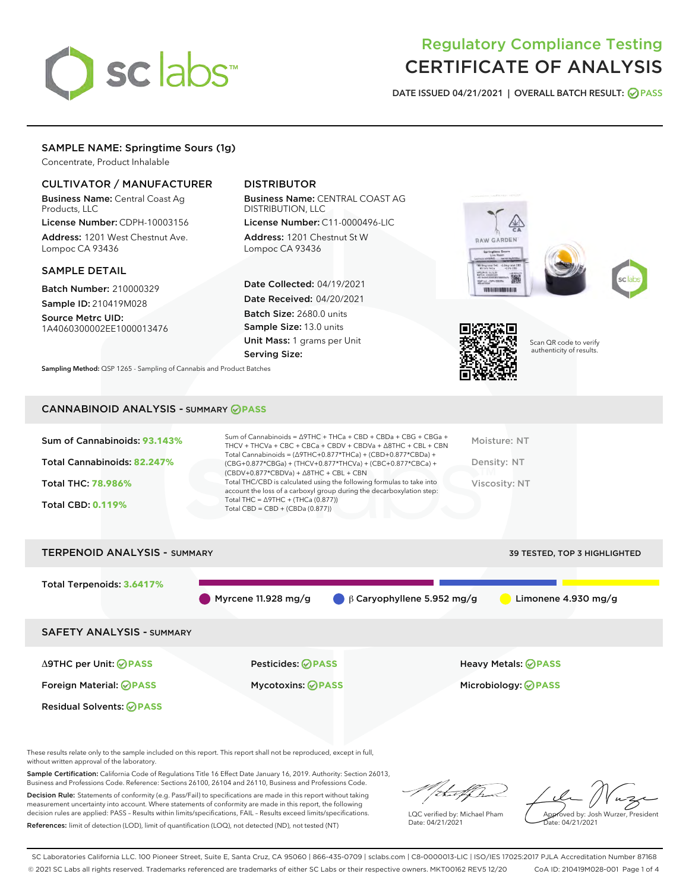# sclabs<sup>\*</sup>

# Regulatory Compliance Testing CERTIFICATE OF ANALYSIS

DATE ISSUED 04/21/2021 | OVERALL BATCH RESULT: @ PASS

# SAMPLE NAME: Springtime Sours (1g)

Concentrate, Product Inhalable

# CULTIVATOR / MANUFACTURER

Business Name: Central Coast Ag Products, LLC

License Number: CDPH-10003156 Address: 1201 West Chestnut Ave. Lompoc CA 93436

#### SAMPLE DETAIL

Batch Number: 210000329 Sample ID: 210419M028

Source Metrc UID: 1A4060300002EE1000013476

# DISTRIBUTOR

Business Name: CENTRAL COAST AG DISTRIBUTION, LLC

License Number: C11-0000496-LIC Address: 1201 Chestnut St W Lompoc CA 93436

Date Collected: 04/19/2021 Date Received: 04/20/2021 Batch Size: 2680.0 units Sample Size: 13.0 units Unit Mass: 1 grams per Unit Serving Size:





Scan QR code to verify authenticity of results.

Sampling Method: QSP 1265 - Sampling of Cannabis and Product Batches

# CANNABINOID ANALYSIS - SUMMARY **PASS**

| Sum of Cannabinoids: 93.143% | Sum of Cannabinoids = $\triangle$ 9THC + THCa + CBD + CBDa + CBG + CBGa +<br>THCV + THCVa + CBC + CBCa + CBDV + CBDVa + $\Delta$ 8THC + CBL + CBN                                    | Moisture: NT  |
|------------------------------|--------------------------------------------------------------------------------------------------------------------------------------------------------------------------------------|---------------|
| Total Cannabinoids: 82.247%  | Total Cannabinoids = $(\Delta$ 9THC+0.877*THCa) + (CBD+0.877*CBDa) +<br>(CBG+0.877*CBGa) + (THCV+0.877*THCVa) + (CBC+0.877*CBCa) +<br>$(CBDV+0.877*CBDVa) + \Delta 8THC + CBL + CBN$ | Density: NT   |
| <b>Total THC: 78.986%</b>    | Total THC/CBD is calculated using the following formulas to take into<br>account the loss of a carboxyl group during the decarboxylation step:                                       | Viscosity: NT |
| <b>Total CBD: 0.119%</b>     | Total THC = $\triangle$ 9THC + (THCa (0.877))<br>Total CBD = $CBD + (CBDa (0.877))$                                                                                                  |               |
|                              |                                                                                                                                                                                      |               |

| <b>TERPENOID ANALYSIS - SUMMARY</b> |                           |                                             | 39 TESTED, TOP 3 HIGHLIGHTED |
|-------------------------------------|---------------------------|---------------------------------------------|------------------------------|
| Total Terpenoids: 3.6417%           | Myrcene 11.928 mg/g       | $\bigcirc$ $\beta$ Caryophyllene 5.952 mg/g | Limonene $4.930$ mg/g        |
| <b>SAFETY ANALYSIS - SUMMARY</b>    |                           |                                             |                              |
| ∆9THC per Unit: ⊘PASS               | <b>Pesticides: ⊘ PASS</b> |                                             | Heavy Metals: <b>OPASS</b>   |
| Foreign Material: <b>⊘ PASS</b>     | <b>Mycotoxins: ⊘PASS</b>  |                                             | Microbiology: <b>OPASS</b>   |
| <b>Residual Solvents: ⊘ PASS</b>    |                           |                                             |                              |
|                                     |                           |                                             |                              |

These results relate only to the sample included on this report. This report shall not be reproduced, except in full, without written approval of the laboratory.

Sample Certification: California Code of Regulations Title 16 Effect Date January 16, 2019. Authority: Section 26013, Business and Professions Code. Reference: Sections 26100, 26104 and 26110, Business and Professions Code.

Decision Rule: Statements of conformity (e.g. Pass/Fail) to specifications are made in this report without taking measurement uncertainty into account. Where statements of conformity are made in this report, the following decision rules are applied: PASS – Results within limits/specifications, FAIL – Results exceed limits/specifications. References: limit of detection (LOD), limit of quantification (LOQ), not detected (ND), not tested (NT)

/itmetf/h

LQC verified by: Michael Pham Date: 04/21/2021

Approved by: Josh Wurzer, President Date: 04/21/2021

SC Laboratories California LLC. 100 Pioneer Street, Suite E, Santa Cruz, CA 95060 | 866-435-0709 | sclabs.com | C8-0000013-LIC | ISO/IES 17025:2017 PJLA Accreditation Number 87168 © 2021 SC Labs all rights reserved. Trademarks referenced are trademarks of either SC Labs or their respective owners. MKT00162 REV5 12/20 CoA ID: 210419M028-001 Page 1 of 4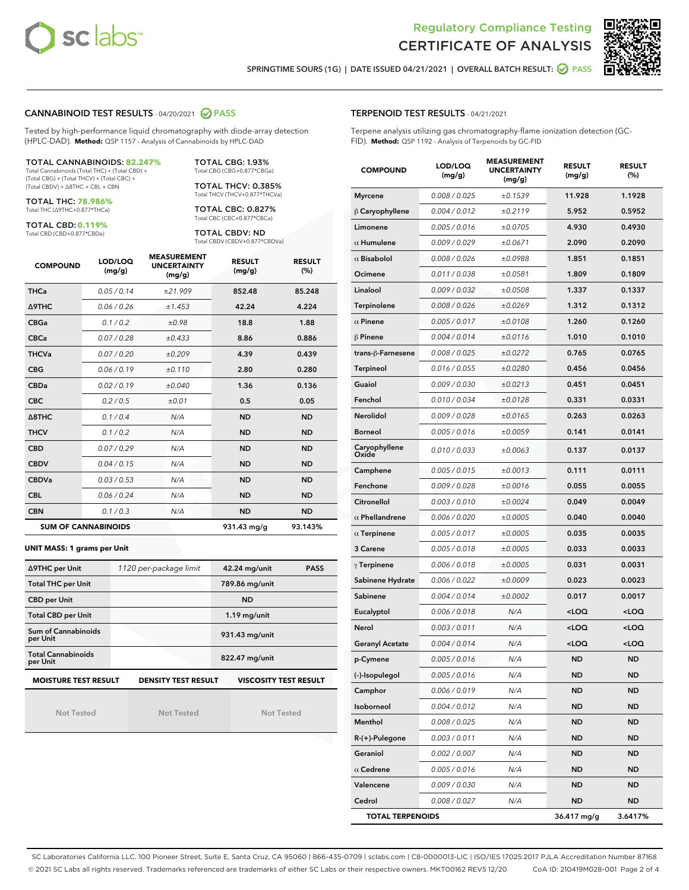



SPRINGTIME SOURS (1G) | DATE ISSUED 04/21/2021 | OVERALL BATCH RESULT: @ PASS

#### CANNABINOID TEST RESULTS - 04/20/2021 2 PASS

Tested by high-performance liquid chromatography with diode-array detection (HPLC-DAD). **Method:** QSP 1157 - Analysis of Cannabinoids by HPLC-DAD

#### TOTAL CANNABINOIDS: **82.247%**

Total Cannabinoids (Total THC) + (Total CBD) + (Total CBG) + (Total THCV) + (Total CBC) + (Total CBDV) + ∆8THC + CBL + CBN

TOTAL THC: **78.986%** Total THC (∆9THC+0.877\*THCa)

TOTAL CBD: **0.119%**

Total CBD (CBD+0.877\*CBDa)

TOTAL CBG: 1.93% Total CBG (CBG+0.877\*CBGa)

TOTAL THCV: 0.385% Total THCV (THCV+0.877\*THCVa)

TOTAL CBC: 0.827% Total CBC (CBC+0.877\*CBCa)

TOTAL CBDV: ND Total CBDV (CBDV+0.877\*CBDVa)

| <b>COMPOUND</b>  | LOD/LOQ<br>(mg/g)          | <b>MEASUREMENT</b><br><b>UNCERTAINTY</b><br>(mg/g) | <b>RESULT</b><br>(mg/g) | <b>RESULT</b><br>(%) |
|------------------|----------------------------|----------------------------------------------------|-------------------------|----------------------|
| <b>THCa</b>      | 0.05/0.14                  | ±21.909                                            | 852.48                  | 85.248               |
| <b>A9THC</b>     | 0.06 / 0.26                | ±1.453                                             | 42.24                   | 4.224                |
| <b>CBGa</b>      | 0.1 / 0.2                  | ±0.98                                              | 18.8                    | 1.88                 |
| <b>CBCa</b>      | 0.07 / 0.28                | ±0.433                                             | 8.86                    | 0.886                |
| <b>THCVa</b>     | 0.07/0.20                  | ±0.209                                             | 4.39                    | 0.439                |
| <b>CBG</b>       | 0.06/0.19                  | ±0.110                                             | 2.80                    | 0.280                |
| <b>CBDa</b>      | 0.02 / 0.19                | ±0.040                                             | 1.36                    | 0.136                |
| <b>CBC</b>       | 0.2 / 0.5                  | ±0.01                                              | 0.5                     | 0.05                 |
| $\triangle$ 8THC | 0.1 / 0.4                  | N/A                                                | <b>ND</b>               | <b>ND</b>            |
| <b>THCV</b>      | 0.1 / 0.2                  | N/A                                                | <b>ND</b>               | <b>ND</b>            |
| <b>CBD</b>       | 0.07/0.29                  | N/A                                                | <b>ND</b>               | <b>ND</b>            |
| <b>CBDV</b>      | 0.04/0.15                  | N/A                                                | <b>ND</b>               | <b>ND</b>            |
| <b>CBDVa</b>     | 0.03/0.53                  | N/A                                                | <b>ND</b>               | <b>ND</b>            |
| <b>CBL</b>       | 0.06 / 0.24                | N/A                                                | <b>ND</b>               | <b>ND</b>            |
| <b>CBN</b>       | 0.1/0.3                    | N/A                                                | <b>ND</b>               | <b>ND</b>            |
|                  | <b>SUM OF CANNABINOIDS</b> |                                                    | 931.43 mg/g             | 93.143%              |

#### **UNIT MASS: 1 grams per Unit**

| ∆9THC per Unit                         | 1120 per-package limit     | 42.24 mg/unit<br><b>PASS</b> |  |
|----------------------------------------|----------------------------|------------------------------|--|
| <b>Total THC per Unit</b>              |                            | 789.86 mg/unit               |  |
| <b>CBD per Unit</b>                    |                            | <b>ND</b>                    |  |
| <b>Total CBD per Unit</b>              |                            | $1.19$ mg/unit               |  |
| <b>Sum of Cannabinoids</b><br>per Unit |                            | 931.43 mg/unit               |  |
| <b>Total Cannabinoids</b><br>per Unit  |                            | 822.47 mg/unit               |  |
| <b>MOISTURE TEST RESULT</b>            | <b>DENSITY TEST RESULT</b> | <b>VISCOSITY TEST RESULT</b> |  |

**MOISTURE TEST RESULT**

Not Tested

Not Tested

Not Tested

#### TERPENOID TEST RESULTS - 04/21/2021

Terpene analysis utilizing gas chromatography-flame ionization detection (GC-FID). **Method:** QSP 1192 - Analysis of Terpenoids by GC-FID

| <b>COMPOUND</b>         | LOD/LOQ<br>(mg/g) | <b>MEASUREMENT</b><br><b>UNCERTAINTY</b><br>(mg/g) | <b>RESULT</b><br>(mg/g)                         | <b>RESULT</b><br>$(\%)$ |
|-------------------------|-------------------|----------------------------------------------------|-------------------------------------------------|-------------------------|
| <b>Myrcene</b>          | 0.008 / 0.025     | ±0.1539                                            | 11.928                                          | 1.1928                  |
| $\beta$ Caryophyllene   | 0.004 / 0.012     | ±0.2119                                            | 5.952                                           | 0.5952                  |
| Limonene                | 0.005 / 0.016     | ±0.0705                                            | 4.930                                           | 0.4930                  |
| $\alpha$ Humulene       | 0.009 / 0.029     | ±0.0671                                            | 2.090                                           | 0.2090                  |
| $\alpha$ Bisabolol      | 0.008 / 0.026     | ±0.0988                                            | 1.851                                           | 0.1851                  |
| Ocimene                 | 0.011 / 0.038     | ±0.0581                                            | 1.809                                           | 0.1809                  |
| Linalool                | 0.009 / 0.032     | ±0.0508                                            | 1.337                                           | 0.1337                  |
| <b>Terpinolene</b>      | 0.008 / 0.026     | ±0.0269                                            | 1.312                                           | 0.1312                  |
| $\alpha$ Pinene         | 0.005 / 0.017     | ±0.0108                                            | 1.260                                           | 0.1260                  |
| $\beta$ Pinene          | 0.004 / 0.014     | ±0.0116                                            | 1.010                                           | 0.1010                  |
| trans-β-Farnesene       | 0.008 / 0.025     | ±0.0272                                            | 0.765                                           | 0.0765                  |
| Terpineol               | 0.016 / 0.055     | ±0.0280                                            | 0.456                                           | 0.0456                  |
| Guaiol                  | 0.009 / 0.030     | ±0.0213                                            | 0.451                                           | 0.0451                  |
| Fenchol                 | 0.010 / 0.034     | ±0.0128                                            | 0.331                                           | 0.0331                  |
| Nerolidol               | 0.009 / 0.028     | ±0.0165                                            | 0.263                                           | 0.0263                  |
| <b>Borneol</b>          | 0.005 / 0.016     | ±0.0059                                            | 0.141                                           | 0.0141                  |
| Caryophyllene<br>Oxide  | 0.010 / 0.033     | ±0.0063                                            | 0.137                                           | 0.0137                  |
| Camphene                | 0.005 / 0.015     | ±0.0013                                            | 0.111                                           | 0.0111                  |
| Fenchone                | 0.009 / 0.028     | ±0.0016                                            | 0.055                                           | 0.0055                  |
| Citronellol             | 0.003 / 0.010     | ±0.0024                                            | 0.049                                           | 0.0049                  |
| $\alpha$ Phellandrene   | 0.006 / 0.020     | ±0.0005                                            | 0.040                                           | 0.0040                  |
| $\alpha$ Terpinene      | 0.005 / 0.017     | ±0.0005                                            | 0.035                                           | 0.0035                  |
| 3 Carene                | 0.005 / 0.018     | ±0.0005                                            | 0.033                                           | 0.0033                  |
| $\gamma$ Terpinene      | 0.006 / 0.018     | ±0.0005                                            | 0.031                                           | 0.0031                  |
| Sabinene Hydrate        | 0.006 / 0.022     | ±0.0009                                            | 0.023                                           | 0.0023                  |
| Sabinene                | 0.004 / 0.014     | ±0.0002                                            | 0.017                                           | 0.0017                  |
| Eucalyptol              | 0.006 / 0.018     | N/A                                                | <loq< th=""><th><loq< th=""></loq<></th></loq<> | <loq< th=""></loq<>     |
| Nerol                   | 0.003 / 0.011     | N/A                                                | <loq< th=""><th><loq< th=""></loq<></th></loq<> | <loq< th=""></loq<>     |
| <b>Geranyl Acetate</b>  | 0.004 / 0.014     | N/A                                                | <loq< th=""><th><loq< th=""></loq<></th></loq<> | <loq< th=""></loq<>     |
| p-Cymene                | 0.005 / 0.016     | N/A                                                | ND                                              | <b>ND</b>               |
| (-)-Isopulegol          | 0.005 / 0.016     | N/A                                                | ND                                              | ND                      |
| Camphor                 | 0.006 / 0.019     | N/A                                                | <b>ND</b>                                       | <b>ND</b>               |
| Isoborneol              | 0.004 / 0.012     | N/A                                                | ND                                              | ND                      |
| Menthol                 | 0.008 / 0.025     | N/A                                                | ND                                              | <b>ND</b>               |
| R-(+)-Pulegone          | 0.003 / 0.011     | N/A                                                | ND                                              | ND                      |
| Geraniol                | 0.002 / 0.007     | N/A                                                | ND                                              | ND                      |
| $\alpha$ Cedrene        | 0.005 / 0.016     | N/A                                                | ND                                              | ND                      |
| Valencene               | 0.009 / 0.030     | N/A                                                | ND                                              | ND                      |
| Cedrol                  | 0.008 / 0.027     | N/A                                                | ND                                              | <b>ND</b>               |
| <b>TOTAL TERPENOIDS</b> |                   |                                                    | 36.417 mg/g                                     | 3.6417%                 |

SC Laboratories California LLC. 100 Pioneer Street, Suite E, Santa Cruz, CA 95060 | 866-435-0709 | sclabs.com | C8-0000013-LIC | ISO/IES 17025:2017 PJLA Accreditation Number 87168 © 2021 SC Labs all rights reserved. Trademarks referenced are trademarks of either SC Labs or their respective owners. MKT00162 REV5 12/20 CoA ID: 210419M028-001 Page 2 of 4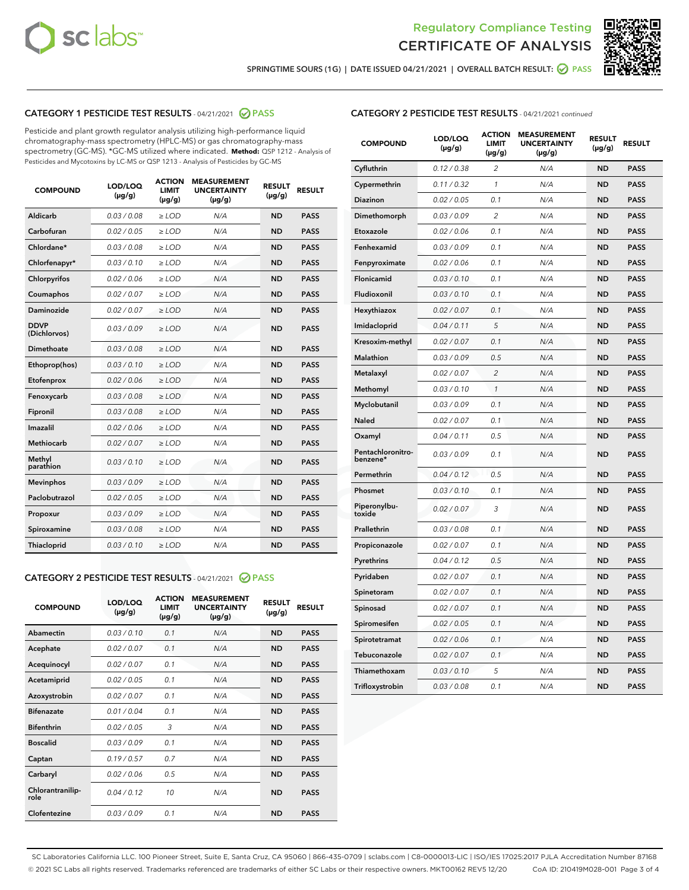



SPRINGTIME SOURS (1G) | DATE ISSUED 04/21/2021 | OVERALL BATCH RESULT: @ PASS

# CATEGORY 1 PESTICIDE TEST RESULTS - 04/21/2021 2 PASS

Pesticide and plant growth regulator analysis utilizing high-performance liquid chromatography-mass spectrometry (HPLC-MS) or gas chromatography-mass spectrometry (GC-MS). \*GC-MS utilized where indicated. **Method:** QSP 1212 - Analysis of Pesticides and Mycotoxins by LC-MS or QSP 1213 - Analysis of Pesticides by GC-MS

| 0.03 / 0.08<br><b>ND</b><br><b>PASS</b><br>Aldicarb<br>$\ge$ LOD<br>N/A<br>Carbofuran<br><b>ND</b><br>0.02 / 0.05<br>$\ge$ LOD<br>N/A<br><b>PASS</b><br>Chlordane*<br>0.03 / 0.08<br>$\ge$ LOD<br>N/A<br><b>ND</b><br><b>PASS</b><br>Chlorfenapyr*<br>0.03/0.10<br>$\ge$ LOD<br>N/A<br><b>ND</b><br><b>PASS</b><br>Chlorpyrifos<br>0.02 / 0.06<br>N/A<br><b>ND</b><br><b>PASS</b><br>$\ge$ LOD<br>Coumaphos<br>0.02 / 0.07<br>N/A<br><b>ND</b><br><b>PASS</b><br>$\ge$ LOD<br>Daminozide<br>0.02 / 0.07<br>N/A<br><b>ND</b><br><b>PASS</b><br>$\ge$ LOD<br><b>DDVP</b><br>0.03/0.09<br>$>$ LOD<br>N/A<br><b>ND</b><br><b>PASS</b><br>(Dichlorvos)<br><b>Dimethoate</b><br>0.03 / 0.08<br>$\ge$ LOD<br><b>ND</b><br><b>PASS</b><br>N/A<br>0.03/0.10<br>N/A<br><b>ND</b><br><b>PASS</b><br>Ethoprop(hos)<br>$>$ LOD<br>N/A<br><b>ND</b><br><b>PASS</b><br>Etofenprox<br>0.02 / 0.06<br>$\ge$ LOD<br>Fenoxycarb<br>0.03 / 0.08<br>$\ge$ LOD<br>N/A<br><b>ND</b><br><b>PASS</b><br>0.03/0.08<br>$\ge$ LOD<br>N/A<br><b>ND</b><br><b>PASS</b><br>Fipronil<br>Imazalil<br>0.02 / 0.06<br>$\geq$ LOD<br>N/A<br><b>ND</b><br><b>PASS</b><br><b>Methiocarb</b><br>0.02 / 0.07<br>$\ge$ LOD<br>N/A<br><b>ND</b><br><b>PASS</b><br>Methyl<br>0.03/0.10<br>N/A<br><b>ND</b><br><b>PASS</b><br>$\ge$ LOD<br>parathion<br>0.03/0.09<br><b>Mevinphos</b><br>$\ge$ LOD<br>N/A<br><b>ND</b><br><b>PASS</b><br>Paclobutrazol<br>0.02 / 0.05<br>$>$ LOD<br>N/A<br><b>ND</b><br><b>PASS</b><br>0.03 / 0.09<br>N/A<br>$\ge$ LOD<br><b>ND</b><br><b>PASS</b><br>Propoxur<br>0.03 / 0.08<br><b>ND</b><br><b>PASS</b><br>Spiroxamine<br>$\ge$ LOD<br>N/A<br>Thiacloprid<br>0.03/0.10<br>$\ge$ LOD<br>N/A<br><b>ND</b><br><b>PASS</b> | <b>COMPOUND</b> | LOD/LOQ<br>$(\mu g/g)$ | <b>ACTION</b><br><b>LIMIT</b><br>$(\mu g/g)$ | <b>MEASUREMENT</b><br><b>UNCERTAINTY</b><br>$(\mu g/g)$ | <b>RESULT</b><br>$(\mu g/g)$ | <b>RESULT</b> |
|--------------------------------------------------------------------------------------------------------------------------------------------------------------------------------------------------------------------------------------------------------------------------------------------------------------------------------------------------------------------------------------------------------------------------------------------------------------------------------------------------------------------------------------------------------------------------------------------------------------------------------------------------------------------------------------------------------------------------------------------------------------------------------------------------------------------------------------------------------------------------------------------------------------------------------------------------------------------------------------------------------------------------------------------------------------------------------------------------------------------------------------------------------------------------------------------------------------------------------------------------------------------------------------------------------------------------------------------------------------------------------------------------------------------------------------------------------------------------------------------------------------------------------------------------------------------------------------------------------------------------------------------------------------------------------------------------------------|-----------------|------------------------|----------------------------------------------|---------------------------------------------------------|------------------------------|---------------|
|                                                                                                                                                                                                                                                                                                                                                                                                                                                                                                                                                                                                                                                                                                                                                                                                                                                                                                                                                                                                                                                                                                                                                                                                                                                                                                                                                                                                                                                                                                                                                                                                                                                                                                              |                 |                        |                                              |                                                         |                              |               |
|                                                                                                                                                                                                                                                                                                                                                                                                                                                                                                                                                                                                                                                                                                                                                                                                                                                                                                                                                                                                                                                                                                                                                                                                                                                                                                                                                                                                                                                                                                                                                                                                                                                                                                              |                 |                        |                                              |                                                         |                              |               |
|                                                                                                                                                                                                                                                                                                                                                                                                                                                                                                                                                                                                                                                                                                                                                                                                                                                                                                                                                                                                                                                                                                                                                                                                                                                                                                                                                                                                                                                                                                                                                                                                                                                                                                              |                 |                        |                                              |                                                         |                              |               |
|                                                                                                                                                                                                                                                                                                                                                                                                                                                                                                                                                                                                                                                                                                                                                                                                                                                                                                                                                                                                                                                                                                                                                                                                                                                                                                                                                                                                                                                                                                                                                                                                                                                                                                              |                 |                        |                                              |                                                         |                              |               |
|                                                                                                                                                                                                                                                                                                                                                                                                                                                                                                                                                                                                                                                                                                                                                                                                                                                                                                                                                                                                                                                                                                                                                                                                                                                                                                                                                                                                                                                                                                                                                                                                                                                                                                              |                 |                        |                                              |                                                         |                              |               |
|                                                                                                                                                                                                                                                                                                                                                                                                                                                                                                                                                                                                                                                                                                                                                                                                                                                                                                                                                                                                                                                                                                                                                                                                                                                                                                                                                                                                                                                                                                                                                                                                                                                                                                              |                 |                        |                                              |                                                         |                              |               |
|                                                                                                                                                                                                                                                                                                                                                                                                                                                                                                                                                                                                                                                                                                                                                                                                                                                                                                                                                                                                                                                                                                                                                                                                                                                                                                                                                                                                                                                                                                                                                                                                                                                                                                              |                 |                        |                                              |                                                         |                              |               |
|                                                                                                                                                                                                                                                                                                                                                                                                                                                                                                                                                                                                                                                                                                                                                                                                                                                                                                                                                                                                                                                                                                                                                                                                                                                                                                                                                                                                                                                                                                                                                                                                                                                                                                              |                 |                        |                                              |                                                         |                              |               |
|                                                                                                                                                                                                                                                                                                                                                                                                                                                                                                                                                                                                                                                                                                                                                                                                                                                                                                                                                                                                                                                                                                                                                                                                                                                                                                                                                                                                                                                                                                                                                                                                                                                                                                              |                 |                        |                                              |                                                         |                              |               |
|                                                                                                                                                                                                                                                                                                                                                                                                                                                                                                                                                                                                                                                                                                                                                                                                                                                                                                                                                                                                                                                                                                                                                                                                                                                                                                                                                                                                                                                                                                                                                                                                                                                                                                              |                 |                        |                                              |                                                         |                              |               |
|                                                                                                                                                                                                                                                                                                                                                                                                                                                                                                                                                                                                                                                                                                                                                                                                                                                                                                                                                                                                                                                                                                                                                                                                                                                                                                                                                                                                                                                                                                                                                                                                                                                                                                              |                 |                        |                                              |                                                         |                              |               |
|                                                                                                                                                                                                                                                                                                                                                                                                                                                                                                                                                                                                                                                                                                                                                                                                                                                                                                                                                                                                                                                                                                                                                                                                                                                                                                                                                                                                                                                                                                                                                                                                                                                                                                              |                 |                        |                                              |                                                         |                              |               |
|                                                                                                                                                                                                                                                                                                                                                                                                                                                                                                                                                                                                                                                                                                                                                                                                                                                                                                                                                                                                                                                                                                                                                                                                                                                                                                                                                                                                                                                                                                                                                                                                                                                                                                              |                 |                        |                                              |                                                         |                              |               |
|                                                                                                                                                                                                                                                                                                                                                                                                                                                                                                                                                                                                                                                                                                                                                                                                                                                                                                                                                                                                                                                                                                                                                                                                                                                                                                                                                                                                                                                                                                                                                                                                                                                                                                              |                 |                        |                                              |                                                         |                              |               |
|                                                                                                                                                                                                                                                                                                                                                                                                                                                                                                                                                                                                                                                                                                                                                                                                                                                                                                                                                                                                                                                                                                                                                                                                                                                                                                                                                                                                                                                                                                                                                                                                                                                                                                              |                 |                        |                                              |                                                         |                              |               |
|                                                                                                                                                                                                                                                                                                                                                                                                                                                                                                                                                                                                                                                                                                                                                                                                                                                                                                                                                                                                                                                                                                                                                                                                                                                                                                                                                                                                                                                                                                                                                                                                                                                                                                              |                 |                        |                                              |                                                         |                              |               |
|                                                                                                                                                                                                                                                                                                                                                                                                                                                                                                                                                                                                                                                                                                                                                                                                                                                                                                                                                                                                                                                                                                                                                                                                                                                                                                                                                                                                                                                                                                                                                                                                                                                                                                              |                 |                        |                                              |                                                         |                              |               |
|                                                                                                                                                                                                                                                                                                                                                                                                                                                                                                                                                                                                                                                                                                                                                                                                                                                                                                                                                                                                                                                                                                                                                                                                                                                                                                                                                                                                                                                                                                                                                                                                                                                                                                              |                 |                        |                                              |                                                         |                              |               |
|                                                                                                                                                                                                                                                                                                                                                                                                                                                                                                                                                                                                                                                                                                                                                                                                                                                                                                                                                                                                                                                                                                                                                                                                                                                                                                                                                                                                                                                                                                                                                                                                                                                                                                              |                 |                        |                                              |                                                         |                              |               |
|                                                                                                                                                                                                                                                                                                                                                                                                                                                                                                                                                                                                                                                                                                                                                                                                                                                                                                                                                                                                                                                                                                                                                                                                                                                                                                                                                                                                                                                                                                                                                                                                                                                                                                              |                 |                        |                                              |                                                         |                              |               |
|                                                                                                                                                                                                                                                                                                                                                                                                                                                                                                                                                                                                                                                                                                                                                                                                                                                                                                                                                                                                                                                                                                                                                                                                                                                                                                                                                                                                                                                                                                                                                                                                                                                                                                              |                 |                        |                                              |                                                         |                              |               |

#### CATEGORY 2 PESTICIDE TEST RESULTS - 04/21/2021 @ PASS

| <b>COMPOUND</b>          | LOD/LOO<br>$(\mu g/g)$ | <b>ACTION</b><br>LIMIT<br>$(\mu g/g)$ | <b>MEASUREMENT</b><br><b>UNCERTAINTY</b><br>$(\mu g/g)$ | <b>RESULT</b><br>$(\mu g/g)$ | <b>RESULT</b> |  |
|--------------------------|------------------------|---------------------------------------|---------------------------------------------------------|------------------------------|---------------|--|
| Abamectin                | 0.03/0.10              | 0.1                                   | N/A                                                     | <b>ND</b>                    | <b>PASS</b>   |  |
| Acephate                 | 0.02/0.07              | 0.1                                   | N/A                                                     | <b>ND</b>                    | <b>PASS</b>   |  |
| Acequinocyl              | 0.02/0.07              | 0.1                                   | N/A                                                     | <b>ND</b>                    | <b>PASS</b>   |  |
| Acetamiprid              | 0.02 / 0.05            | 0.1                                   | N/A                                                     | <b>ND</b>                    | <b>PASS</b>   |  |
| Azoxystrobin             | 0.02/0.07              | 0.1                                   | N/A                                                     | <b>ND</b>                    | <b>PASS</b>   |  |
| <b>Bifenazate</b>        | 0.01 / 0.04            | 0.1                                   | N/A                                                     | <b>ND</b>                    | <b>PASS</b>   |  |
| <b>Bifenthrin</b>        | 0.02 / 0.05            | 3                                     | N/A                                                     | <b>ND</b>                    | <b>PASS</b>   |  |
| <b>Boscalid</b>          | 0.03/0.09              | 0.1                                   | N/A                                                     | <b>ND</b>                    | <b>PASS</b>   |  |
| Captan                   | 0.19/0.57              | 0.7                                   | N/A                                                     | <b>ND</b>                    | <b>PASS</b>   |  |
| Carbaryl                 | 0.02/0.06              | 0.5                                   | N/A                                                     | <b>ND</b>                    | <b>PASS</b>   |  |
| Chlorantranilip-<br>role | 0.04/0.12              | 10                                    | N/A                                                     | <b>ND</b>                    | <b>PASS</b>   |  |
| Clofentezine             | 0.03/0.09              | 0.1                                   | N/A                                                     | <b>ND</b>                    | <b>PASS</b>   |  |

| <b>COMPOUND</b>               | LOD/LOQ<br>(µg/g) | <b>ACTION</b><br><b>LIMIT</b><br>(µg/g) | <b>MEASUREMENT</b><br><b>UNCERTAINTY</b><br>$(\mu g/g)$ | <b>RESULT</b><br>(µg/g) | <b>RESULT</b> |
|-------------------------------|-------------------|-----------------------------------------|---------------------------------------------------------|-------------------------|---------------|
| Cyfluthrin                    | 0.12 / 0.38       | $\overline{c}$                          | N/A                                                     | <b>ND</b>               | <b>PASS</b>   |
| Cypermethrin                  | 0.11 / 0.32       | 1                                       | N/A                                                     | <b>ND</b>               | <b>PASS</b>   |
| <b>Diazinon</b>               | 0.02 / 0.05       | 0.1                                     | N/A                                                     | <b>ND</b>               | <b>PASS</b>   |
| Dimethomorph                  | 0.03 / 0.09       | 2                                       | N/A                                                     | <b>ND</b>               | <b>PASS</b>   |
| Etoxazole                     | 0.02 / 0.06       | 0.1                                     | N/A                                                     | <b>ND</b>               | <b>PASS</b>   |
| Fenhexamid                    | 0.03 / 0.09       | 0.1                                     | N/A                                                     | <b>ND</b>               | <b>PASS</b>   |
| Fenpyroximate                 | 0.02 / 0.06       | 0.1                                     | N/A                                                     | <b>ND</b>               | <b>PASS</b>   |
| Flonicamid                    | 0.03 / 0.10       | 0.1                                     | N/A                                                     | <b>ND</b>               | <b>PASS</b>   |
| Fludioxonil                   | 0.03 / 0.10       | 0.1                                     | N/A                                                     | <b>ND</b>               | <b>PASS</b>   |
| Hexythiazox                   | 0.02 / 0.07       | 0.1                                     | N/A                                                     | <b>ND</b>               | <b>PASS</b>   |
| Imidacloprid                  | 0.04 / 0.11       | 5                                       | N/A                                                     | <b>ND</b>               | <b>PASS</b>   |
| Kresoxim-methyl               | 0.02 / 0.07       | 0.1                                     | N/A                                                     | <b>ND</b>               | <b>PASS</b>   |
| Malathion                     | 0.03 / 0.09       | 0.5                                     | N/A                                                     | <b>ND</b>               | <b>PASS</b>   |
| Metalaxyl                     | 0.02 / 0.07       | $\overline{c}$                          | N/A                                                     | <b>ND</b>               | <b>PASS</b>   |
| Methomyl                      | 0.03 / 0.10       | $\mathcal{I}$                           | N/A                                                     | <b>ND</b>               | <b>PASS</b>   |
| Myclobutanil                  | 0.03 / 0.09       | 0.1                                     | N/A                                                     | <b>ND</b>               | <b>PASS</b>   |
| <b>Naled</b>                  | 0.02 / 0.07       | 0.1                                     | N/A                                                     | <b>ND</b>               | <b>PASS</b>   |
| Oxamyl                        | 0.04 / 0.11       | 0.5                                     | N/A                                                     | <b>ND</b>               | <b>PASS</b>   |
| Pentachloronitro-<br>benzene* | 0.03/0.09         | 0.1                                     | N/A                                                     | <b>ND</b>               | <b>PASS</b>   |
| Permethrin                    | 0.04 / 0.12       | 0.5                                     | N/A                                                     | <b>ND</b>               | <b>PASS</b>   |
| Phosmet                       | 0.03 / 0.10       | 0.1                                     | N/A                                                     | <b>ND</b>               | <b>PASS</b>   |
| Piperonylbu-<br>toxide        | 0.02 / 0.07       | 3                                       | N/A                                                     | <b>ND</b>               | <b>PASS</b>   |
| Prallethrin                   | 0.03 / 0.08       | 0.1                                     | N/A                                                     | <b>ND</b>               | <b>PASS</b>   |
| Propiconazole                 | 0.02 / 0.07       | 0.1                                     | N/A                                                     | <b>ND</b>               | <b>PASS</b>   |
| Pyrethrins                    | 0.04 / 0.12       | 0.5                                     | N/A                                                     | <b>ND</b>               | <b>PASS</b>   |
| Pyridaben                     | 0.02 / 0.07       | 0.1                                     | N/A                                                     | <b>ND</b>               | <b>PASS</b>   |
| Spinetoram                    | 0.02 / 0.07       | 0.1                                     | N/A                                                     | <b>ND</b>               | <b>PASS</b>   |
| Spinosad                      | 0.02 / 0.07       | 0.1                                     | N/A                                                     | <b>ND</b>               | <b>PASS</b>   |
| Spiromesifen                  | 0.02 / 0.05       | 0.1                                     | N/A                                                     | <b>ND</b>               | <b>PASS</b>   |
| Spirotetramat                 | 0.02 / 0.06       | 0.1                                     | N/A                                                     | ND                      | <b>PASS</b>   |
| Tebuconazole                  | 0.02 / 0.07       | 0.1                                     | N/A                                                     | <b>ND</b>               | <b>PASS</b>   |
| Thiamethoxam                  | 0.03 / 0.10       | 5                                       | N/A                                                     | <b>ND</b>               | <b>PASS</b>   |
| Trifloxystrobin               | 0.03 / 0.08       | 0.1                                     | N/A                                                     | <b>ND</b>               | <b>PASS</b>   |

SC Laboratories California LLC. 100 Pioneer Street, Suite E, Santa Cruz, CA 95060 | 866-435-0709 | sclabs.com | C8-0000013-LIC | ISO/IES 17025:2017 PJLA Accreditation Number 87168 © 2021 SC Labs all rights reserved. Trademarks referenced are trademarks of either SC Labs or their respective owners. MKT00162 REV5 12/20 CoA ID: 210419M028-001 Page 3 of 4